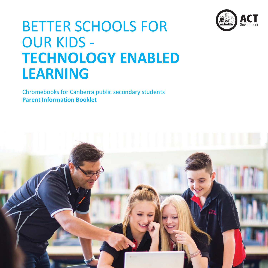

# BETTER SCHOOLS FOR OUR KIDS - **TECHNOLOGY ENABLED LEARNING**

Chromebooks for Canberra public secondary students **Parent Information Booklet**

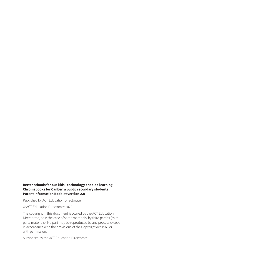#### **Better schools for our kids - technology enabled learning Chromebooks for Canberra public secondary students Parent Information Booklet version 2.0**

Published by ACT Education Directorate

#### © ACT Education Directorate 2020

The copyright in this document is owned by the ACT Education Directorate, or in the case of some materials, by third parties (third party materials). No part may be reproduced by any process except in accordance with the provisions of the Copyright Act 1968 or with permission.

Authorised by the ACT Education Directorate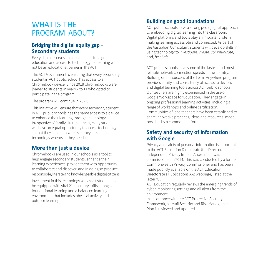# WHAT IS THE PROGRAM ABOUT?

# **Bridging the digital equity gap – Secondary students**

Every child deserves an equal chance for a great education and access to technology for learning will not be an educational barrier in the ACT.

The ACT Government is ensuring that every secondary student in ACT public school has access to a Chromebook device. Since 2018 Chromebooks were loaned to students in years 7 to 11 who opted to participate in the program.

The program will continue in 2021.

This initiativewill ensure that every secondary student in ACT public schools has the same access to a device to enhance their learning through technology. Irrespective of family circumstances, every student will have an equal opportunity to access technology so that they can learn wherever they are and use technology whenever they need it.

# **More than just a device**

Chromebooks are used in our schools as a tool to help engage secondary students, enhance their learning experiences, provide them with opportunity to collaborate and discover, and in doing so produce responsible, literate and knowledgeable digital citizens.

Investment in this technology will assist students to be equipped with vital 21st century skills, alongside foundational learning and a balanced learning environment that includes physical activity and outdoor learning.

# **Building on good foundations**

ACT public schools have a strong pedagogical approach to embedding digital learning into the classroom. Digital platforms and tools play an important role in making learning accessible and connected. As part of the Australian Curriculum, students will develop skills in using technology to *investigate*, *create*, *communicate,* and, *be eSafe*.

ACT public schools have some of the fastest and most reliable network connection speeds in the country. Building on the success of the Learn Anywhere program provides equity and consistency of access to devices and digital learning tools across ACT public schools Our teachers are highly experienced in the use of Google Workspace for Education. They engage in ongoing professional learning activities, including a range of workshops and online certification. Communities of lead teachers have been established to share innovative practices, ideas and resources, made possible by a common platform.

# **Safety and security of information with Google**

Privacy and safety of personal information is important to the ACT Education Directorate (the Directorate), a full independent Privacy Impact Assessment was commissioned in 2014. This was conducted by a former Commonwealth Privacy Commissioner and has been made publicly available on the ACT Education Directorate's Publications A-Z webpage, listed at the letter 'G'.

ACT Education regularly reviews the emerging trends of cyber, monitoring settings and all alerts from the environment.

In accordance with the ACT Protective Security Framework, a detail Security and Risk Management Plan is reviewed and updated.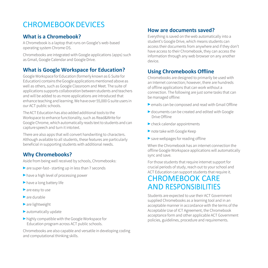# CHROMEBOOKDEVICES

# **What is a Chromebook?**

A Chromebook is a laptop that runs on Google's web-based operating system Chrome OS.

Chromebooks are integrated with Google applications (apps) such as Gmail, Google Calendar and Google Drive.

# **What is Google Workspace for Education?**

Google Workspace forEducation (formerly known asG Suite for Education) contains theGoogle applications mentioned above as well as others, such as Google Classroom and Meet. The suite of applications supports collaboration between students and teachers and will be added to as more applications are introduced that enhance teaching and learning. We have over 55,000 G suite users in our ACT public schools.

TheACT Education has also added additional tools to the Workspace to enhance functionality, such as Read&Write for Google Chrome, which automatically reads text to students and can capture speech and turn it intotext.

There are also apps that will convert handwriting to characters. Although available to all students, these features are particularly beneficial in supporting students with additional needs.

# **Why Chromebooks?**

Aside from being well received by schools, Chromebooks:

- ▶ are super-fast– starting up in less than 7 seconds
- ▶ have a high level of processing power
- ▶ have a long battery life
- ▶ are easy to use
- ▶ are durable
- ▶ are lightweight
- $\blacktriangleright$  automatically update
- $\triangleright$  highly compatible with the Google Workspace for Education program across ACT public schools.

Chromebooks are also capable and versatile in developing coding and computational thinking skills.

# **How are documents saved?**

Everything is saved on the web automatically into a student's Google Drive, which means students can access their documents from anywhere and if they don't have access to their Chromebook, they can access the information through any web browser on any another device.

# **Using Chromebooks Offline**

Chromebooks are designed to primarily be used with an Internet connection; however, there are hundreds of offline applications that can work without a connection. The following are just some tasks that can be managed offline:

- ▶ emails can be composed and read with Gmail Offline
- ▶ documents can be created and edited with Google Drive Offline
- $\blacktriangleright$  check calendar appointments
- ▶ note take with Google Keep
- $\blacktriangleright$  save webpages for reading offline

When the Chromebook has an internet connection the offline Google Workspace applications will automatically sync and save.

For those students that require internet support for crucial periods of study, reach out to your school and ACT Education can support students that require it.

# CHROMEBOOK CARE AND RESPONSIBILITIES

Students are expected to use their ACT Government supplied Chromebooks as a learning tool and in an acceptable manner in accordance with the terms of the Acceptable Use of ICT Agreement, the Chromebook acceptance form and other applicable ACT Government policies, guidelines, procedure and requirements.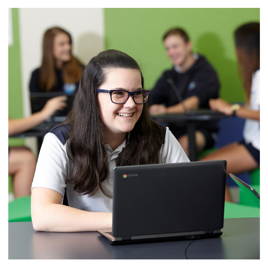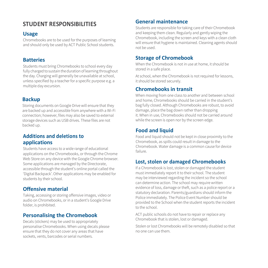# **STUDENT RESPONSIBILITIES**

### **Usage**

Chromebooks are to be used for the purposes of learning and should only be used by ACT Public School students.

# **Batteries**

Students must bring Chromebooks to school every day fully charged tosustain theduration of learning throughout the day. Charging will generally be unavailable at school, unless specified by a teacher for a specific purpose e.g. a multiple day excursion.

# **Backup**

Storing documents on Google Drive will ensure that they are backed up and accessible from anywhere with a Wi-Fi connection; however, files may also be saved to external storage devices such as USB drives. These files are not backed up.

# **Additions and deletions to applications**

Students have access to a wide range of educational applications on the Chromebooks, or through the Chrome Web Store on any device with the Google Chrome browser. Some applications are managed by the Directorate, accessible through the student's online portal called the 'Digital Backpack'.Other applications may be enabled for students by their school.

# **Offensive material**

Taking, accessing or storing offensive images, video or audio on Chromebooks, or in a student's Google Drive folder, is prohibited.

# **Personalising the Chromebook**

Decals (stickers) may be used to appropriately personalise Chromebooks. When using decals please ensure that they do not cover any areas that have sockets, vents, barcodes or serial numbers.

# **General maintenance**

Students are responsible for taking care of their Chromebook and keeping them clean. Regularly and gently wiping the Chromebook, including the screen and keys with a clean cloth will ensure that hygiene is maintained. Cleaning agents should not be used.

# **Storage of Chromebook**

When the Chromebook is not in use at home, it should be stored in a safe place.

At school, when the Chromebook is not required for lessons, it should be stored securely.

# **Chromebooks in transit**

When moving from one class to another and between school and home, Chromebooks should be carried in the student's bag fully closed. Although Chromebooks are robust, to avoid damage, place the bag down rather than dropping it. When in use, Chromebooks should not be carried around while the screen is open nor by the screen edge.

# **Food and liquid**

Food and liquid should not be kept in close proximity to the Chromebook, as spills could result in damage to the Chromebook. Water damage is a common cause for device failure.

# **Lost, stolen or damaged Chromebooks**

If a Chromebook is lost, stolen or damaged the student must immediately report it to their school. The student may be interviewed regarding the incident so the school can determine action. The school may require written evidence of loss, damage or theft, such as a police report or a statutory declaration. Parents/guardians should inform the Police immediately. The Police Event Number should be provided to the School when the student reports the incident to the school.

ACT public schools do not have to repair or replace any Chromebook that is stolen, lost or damaged.

Stolen or lost Chromebooks will be remotely disabled so that no one can use them.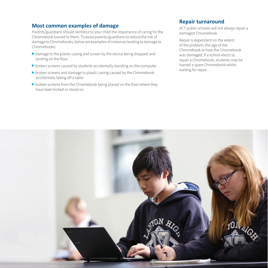### **Most common examples of damage**

Parents/guardians should reinforce to your child the importance of caring for the Chromebook loaned to them. Toassistparents/guardians toreduce the risk of damage toChromebooks, beloware examples of instances leading todamage to Chromebooks:

- ▶ damage to the plastic casing and screen by the device being dropped and landing on the floor
- ▶ broken screens caused by students accidentally standing on the computer
- ▶ broken screens and damage to plastic casing caused by the Chromebook accidentally falling off a table
- ▶ broken screens from the Chromebook being placed on the floor where they have been kicked or stood on.

### **Repair turnaround**

ACT public schools will not always repair a damaged Chromebook.

Repair is dependent on the extent of the problem, the age of the Chromebook or how the Chromebook was damaged. If a school elects to repair a Chromebook, students may be loaned a spare Chromebook whilst waiting for repair.

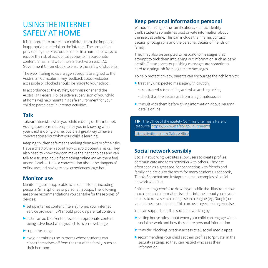# USINGTHEINTERNET SAFELY AT HOME

It is important to protect our children from the impact of inappropriate material on the internet. The protection provided by the Directorate comes in a number of ways to reduce the risk of accidental access to inappropriate content. Email and web filters are active on each ACT Government Chromebook to ensure the safety of students.

The web filtering rules are age appropriate aligned to the Australian Curriculum. Any feedback about websites accessible or blocked should be made to your school.

In accordance to the eSafety Commissioner and the Australian Federal Police active supervision of your child at home will help maintain a safe environment for your child to participate in internet activities.

# **Talk**

Takean interestinwhat your child is doing on the internet. Asking questions, not only helps you in knowing what your child is doing online, but it is a great way to have a conversation aboutwhat your child is learning.

Keeping children safemeans making them awareofthe risks. Have a chat to them about how to avoid potential risks. They also need to know they can make the right choices and can talk to a trusted adult if something online makes them feel uncomfortable. Have a conversation about the dangers of online use and navigate new experiences together.

### **Monitor use**

Monitoring use is applicable toall online tools, including personal Smartphones or personal laptops. The following are some recommendations you cantake for these types of devices:

- ▶ set up internet content filters at home. Your internet service provider (ISP) should provide parental controls
- ▶ install an ad blocker to prevent inappropriate content being advertised while your child is on a webpage
- ▶ supervise usage
- $\triangleright$  avoid permitting use in rooms where students can close themselves off from the rest of the family, such as their bedroom.

# **Keep personal information personal**

Without thinking of the ramifications, such as identity theft, students sometimes post private information about themselves online. This can include their name, contact details, photographs and the personal details of friends or family.

They may also be tempted to respond to messages that attempt to trick them into giving out information such as bank details. These scams or phishing messages are sometimes hard to distinguish from legitimate messages.

To help protect privacy, parents can encourage their children to:

- $\triangleright$  treat any unexpected message with caution:
	- considerwho is emailing and what are they asking
	- check that the details are from a legitimatesource
- $\triangleright$  consult with them before giving information about personal details online

#### **TIP:** The Office of the eSafety Commisioner has a Parent Resource: <https://www.esafety.gov.au/parents>

<https://twitter.com/eSafetyOffice>

# **Social network sensibly**

Social networking websites allow users to create profiles, communicate and form networks with others. They are often seen as a great tool for connecting with friends and family and are quite the norm for many students. Facebook, Tiktok, Snapchat and Instagram are all examples of social network websites.

An interesting exercise to do with your child that illustrates how much personal information is on the internet about you or your child is to run a search using a search engine (e.g.Google) on yourname or your child's. This can be an eyeopening exercise.

You can support sensible social networking by:

- ▶ setting house rules about when your child can engage with a social network and how they share personal information
- ▶ consider blocking location access to all social media apps
- ▶ recommending your child set their profiles to 'private' in the security settings so they can restrict who sees their information.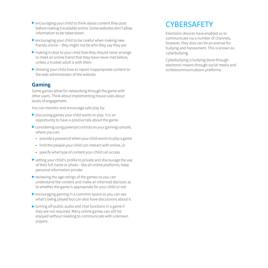- $\triangleright$  encouraging your child to think about content they post beforemaking it available online. Somewebsites don't allow information to be takendown
- ▶ encouraging your child to be careful when making new friends online – they might not be who they say they are
- $\triangleright$  making it clear to your child that they should never arrange to meet an online friend that they have never met before, unless a trusted adult is with them
- $\triangleright$  showing your child how to report inappropriate content to the web administrator of the website.

# **Gaming**

Some games allow for networking through the game with other users. Think about implementing house rules about levels of engagement.

You can monitor and encourage safe play by:

- $\blacktriangleright$  discussing games your child wants to play. It is an opportunity to have a positive talk about the game.
- $\triangleright$  considering using parental controls on your gaming console, where you can:
	- provide a password when your child wants to play a game
	- limit the people your child can interact with online, or
	- specify what type of content your child can access
- $\triangleright$  setting your child's profile to private and discourage the use of their full name or photo - like all online platforms, keep personal information private
- $\blacktriangleright$  reviewing the age ratings of the games so you can understand the content and make an informed decision as to whether the game is appropriate for your child or not
- ▶ encouraging gaming in a common space so you can see what's being played but can also have discussions about it.
- $\triangleright$  turning off public audio and chat functions in a game if they are not required. Many online games can still be enjoyed without needing to communicate with unknown players.

# **CYBERSAFFTY**

Electronic devices have enabled us to communicate via a number of channels, however, they also can be an avenue for bullying and harassment. This is known as cyberbullying.

Cyberbullying is bullying done through electronic means through social media and or/telecommunications platforms.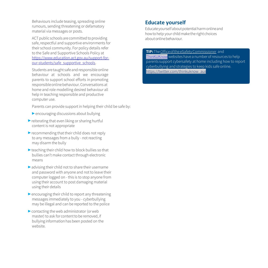Behaviours include teasing, spreading online rumours, sending threatening or defamatory material via messages or posts.

ACT public schools are committed to providing safe, respectful and supportive environments for their school community. For policy details refer to the Safe and Supportive Schools Policy at [https://www.education.act.gov.au/support-for](https://www.education.act.gov.au/support-for-our-students/safe_supportive_schools)[our-students/safe\\_supportive\\_schools.](https://www.education.act.gov.au/support-for-our-students/safe_supportive_schools)

Students are taught safe and responsibleonline behaviour at schools and we encourage parents to support school efforts in promoting responsibleonlinebehaviour. Conversations at home and role modelling desired behaviour all help in teaching responsible and productive computer use.

Parents can provide support in helping their child be safe by:

- $\triangleright$  encouraging discussions about bullying
- $\triangleright$  reiterating that even liking or sharing hurtful content is not appropriate
- ▶ recommending that their child does not reply to any messages from a bully - not reacting may disarm the bully
- $\blacktriangleright$  teaching their child how to block bullies so that bullies can't make contact through electronic means
- ▶ advising their child not to share their username and password with anyone and not to leave their computer logged on - this is to stop anyone from using their account to post damaging material using their details
- $\triangleright$  encouraging their child to report any threatening messages immediately to you - cyberbullying may be illegal and can be reported to the police
- $\triangleright$  contacting the web administrator (or web master) to ask for content to be removed, if bullying information has been posted on the website.

### **Educate yourself**

Educate yourself about potential harm online and how to help your child make the right choices about onlinebehaviour.

**TIP:**TheOfficeofthe [eSafetyCommissioner](https://www.esafety.gov.au/parents) and [ThinKUKnow](https://www.thinkuknow.org.au/) websites have a number of resources to help parents support cybersafety at home including how to report cyberbullying and strategies to keep kids safe online. [https://twitter.com/thinkuknow\\_aus](https://twitter.com/ACTEducation)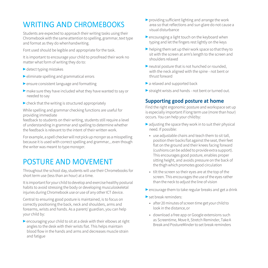# WRITING AND CHROMEBOOKS

Students are expected to approach their writing tasks using their Chromebookwith the same attention to spelling, grammar,text type and format as they do whenhandwriting.

Font used should be legible and appropriate for the task.

It is important to encourage your child to proofread their work no matter what form of writing they do to:

- $\blacktriangleright$  detect typing mistakes
- $\blacktriangleright$  eliminate spelling and grammatical errors
- ▶ ensure consistent language and formatting
- ▶ make sure they have included what they have wanted to say or needed to say
- $\triangleright$  check that the writing is structured appropriately

While spelling and grammar checking functions are useful for providing immediate

feedback to students on their writing, students still require a level of understanding in grammar and spelling to determine whether the feedback is relevant to the intent of their written work.

For example, a spell checkerwill notpick up*manger* as a misspelling because it is used with correct spelling and grammar, , even though the writer was meant to type*manager*.

# POSTURE AND MOVEMENT

Throughout the school day, students will use their Chromebooks for short term use (less than an hour) at a time.

It is important for your child to develop and exercise healthy postural habits to avoid stressing the body or developing musculoskeletal injuries during Chromebook use or use of any other ICT device.

Central to ensuring good posture is maintained, is to focus on correctly positioning the back, neck and shoulders, arms and forearms, wrists and hands. As a parent/ guardian, you can help your child by:

 $\triangleright$  encouraging your child to sit at a desk with their elbows at right angles to the desk with their wrists flat. This helps maintain blood flow in the hands and arms and decreases muscle strain and fatigue

- $\triangleright$  providing sufficient lighting and arrange the work area so that reflections and sun glare do not cause a visual disturbance
- $\triangleright$  encouraging a light touch on the keyboard when typing and let the fingers rest lightly on the keys
- $\blacktriangleright$  helping them set up their work space so that they to sit with the screen at arm's length to the screen and shoulders relaxed
- ▶ neutral posture that is not hunched or rounded, with the neck aligned with the spine - not bent or thrust forward
- ▶ a relaxed and supported back
- ▶ straight wrists and hands not bent or turned out.

# **Supporting good posture at home**

Find the right ergonomic posture and workspace set up is especially important if long term use (more than hour) occurs. You can help your childby:

- $\triangleright$  adjusting the space they work in to suit their physical need. If possible:
	- use adjustable chairs and teach them to sit tall, position their backs flat against the seat, their feet flat on the ground and their knees facing forward (cushions can be added to provide extra support). This encourages good posture, enables proper sitting height, and avoids pressure on the back of the thighwhich promotes good circulation
	- tilt the screen so their eyes are at the top of the screen. This encourages the use of the eyes rather than the neck to adjust the line of vision
- ▶ encourage them to take regular breaks and get a drink
- $\blacktriangleright$  set break reminders:
	- after 20 minutes of screen time get your child to look in the distance,or
	- download a free app or Google extensions such as Screentime, Move It, Stretch Reminder, TakeA Break and PostureMinder toset break reminders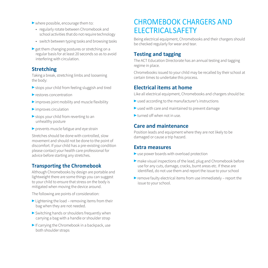- $\triangleright$  where possible, encourage them to:
	- regularly rotate between Chromebook and school activities that do not require technology
	- switch between typing tasks and browsing tasks
- $\triangleright$  get them changing postures or stretching on a regular basis for at least 20 seconds so as to avoid interfering with circulation.

# **Stretching**

Taking a break, stretching limbs and loosening the body:

- ▶ stops your child from feeling sluggish and tired
- ▶ restores concentration
- $\blacktriangleright$  improves joint mobility and muscle flexibility
- ▶ improves circulation
- ▶ stops your child from reverting to an unhealthy posture
- ▶ prevents muscle fatigue and eye strain

Stretches should be done with controlled, slow movement and should not be done to the point of discomfort. If your child has a pre-existing condition please contact your health care professional for advice before starting any stretches.

# **Transporting the Chromebook**

Although Chromebooks by design are portable and lightweight there are some things you can suggest to your child to ensure that stress on the body is mitigated when moving the device around.

The following are points of consideration:

- ▶ Lightening the load removing items from their bag when they are not needed.
- ▶ Switching hands or shoulders frequently when carrying a bag with a handle or shoulder strap
- $\blacktriangleright$  If carrying the Chromebook in a backpack, use both shoulder straps

# CHROMEBOOK CHARGERS AND ELECTRICALSAFETY

Being electrical equipment, Chromebooks and their chargers should be checked regularly for wear and tear.

# **Testing and tagging**

The ACT Education Directorate has an annual testing and tagging regime in place.

Chromebooks issued to your child may be recalled by their school at certain times to undertake this process.

# **Electrical items at home**

Like all electrical equipment, Chromebooks and chargers should be:

- $\blacktriangleright$  used according to the manufacturer's instructions
- $\triangleright$  used with care and maintained to prevent damage
- ▶ turned off when not in use.

### **Care and maintenance**

Position leads and equipment where they are not likely to be damaged or cause a trip hazard.

### **Extra measures**

- $\blacktriangleright$  use power boards with overload protection
- ▶ make visual inspections of the lead, plug and Chromebook before use for any cuts, damage, cracks, burnt areas etc. If these are identified, do not use them and report the issue to your school
- $\triangleright$  remove faulty electrical items from use immediately report the issue to your school.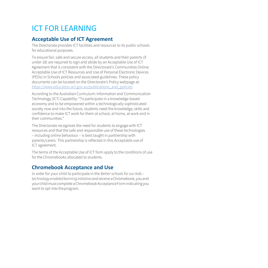# ICT FOR LEARNING

# **Acceptable Use of ICT Agreement**

The Directorate provides ICT facilities and resources to its public schools for educational purposes.

To ensure fair, safe and secure access, all students and their parents (if under 18) are required to sign and abide by an Acceptable Use of ICT Agreement that is consistent with the Directorate's Communities Online: Acceptable Use of ICT Resources and Use of Personal Electronic Devices (PEDs) in Schools policies and associated guidelines. These policy documents can be located on the Directorate's Policy webpage at: https://www.education.act.gov.au/publications\_and\_policies

According to the Australian Curriculum: Information and Communication Technology (ICT) Capability: "To participate in a knowledge-based economy and to be empowered within a technologically sophisticated society now and into the future, students need the knowledge, skills and confidence to make ICT work for them at school, at home, at work and in their communities."

The Directorate recognises the need for students to engage with ICT resources and that the safe and responsible use of these technologies – including online behaviour – is best taught in partnership with parents/carers. This partnership is reflected in this Acceptable use of ICT agreement.

The terms of the Acceptable Use of ICT form apply to the conditions of use for the Chromebooks allocated to students.

# **Chromebook Acceptance and Use**

In order for your child to participate in the *Better schools for our kids – technologyenabledlearninginitiative*andreceiveaChromebook, youand yourchildmustcomplete aChromebookAcceptanceForm indicating you want to opt into theprogram.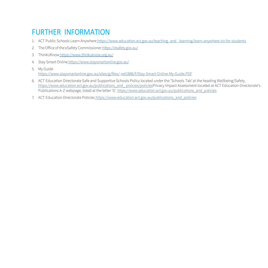# FURTHER INFORMATION

- 1. ACT Public Schools Learn Anywhere https:/[/www.education.act.gov.au/teaching\\_and\\_](http://www.education.act.gov.au/teaching_and_) learning/learn-anywhere-ict-for-students
- 2. The Office of the eSafety Commissioner https://esafety.gov.au/
- 3. ThinkUKnow https:/[/www.thinkuknow.org.au/](http://www.thinkuknow.org.au/)
- 4. Stay Smart Online https:/[/www.staysmartonline.gov.au/](http://www.staysmartonline.gov.au/)
- 5. My Guide https:/[/www.staysmartonline.gov.au/sites/g/files/](http://www.staysmartonline.gov.au/sites/g/files/) net1886/f/Stay-Smart-Online-My-Guide.PDF
- 6. ACT Education Directorate Safe and Supportive Schools Policy located under the 'Schools Tab' at the heading Wellbeing/Safety https:/[/www.education.act.gov.au/publications\\_and\\_](http://www.education.act.gov.au/publications_and_) policies/policiesPrivacy Impact Assessment located at ACT Education Directorate's Publications A-Z webpage, listed at the letter 'G'. [https://www.education.act.gov.au/publications\\_and\\_policies](https://www.education.act.gov.au/publications_and_policies)
- 7. ACT Education Directorate Policies https://www.education.act.gov.au/publications\_and\_policies